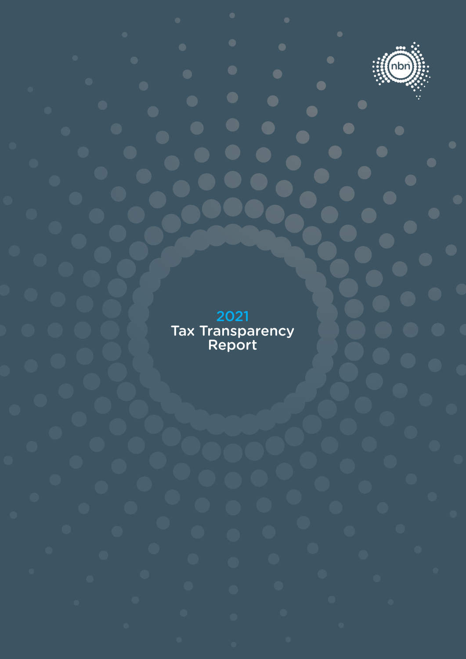

2021 Tax Transparency Report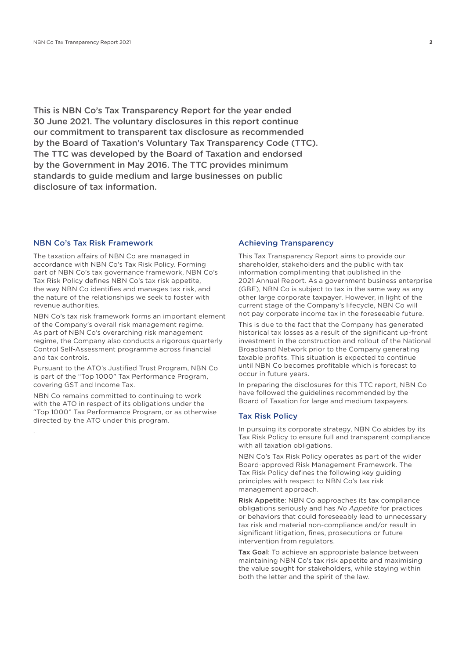This is NBN Co's Tax Transparency Report for the year ended 30 June 2021. The voluntary disclosures in this report continue our commitment to transparent tax disclosure as recommended by the Board of Taxation's Voluntary Tax Transparency Code (TTC). The TTC was developed by the Board of Taxation and endorsed by the Government in May 2016. The TTC provides minimum standards to guide medium and large businesses on public disclosure of tax information.

#### NBN Co's Tax Risk Framework

The taxation affairs of NBN Co are managed in accordance with NBN Co's Tax Risk Policy. Forming part of NBN Co's tax governance framework, NBN Co's Tax Risk Policy defines NBN Co's tax risk appetite, the way NBN Co identifies and manages tax risk, and the nature of the relationships we seek to foster with revenue authorities.

NBN Co's tax risk framework forms an important element of the Company's overall risk management regime. As part of NBN Co's overarching risk management regime, the Company also conducts a rigorous quarterly Control Self-Assessment programme across financial and tax controls.

Pursuant to the ATO's Justified Trust Program, NBN Co is part of the "Top 1000" Tax Performance Program, covering GST and Income Tax.

NBN Co remains committed to continuing to work with the ATO in respect of its obligations under the "Top 1000" Tax Performance Program, or as otherwise directed by the ATO under this program.

.

## Achieving Transparency

This Tax Transparency Report aims to provide our shareholder, stakeholders and the public with tax information complimenting that published in the 2021 Annual Report. As a government business enterprise (GBE), NBN Co is subject to tax in the same way as any other large corporate taxpayer. However, in light of the current stage of the Company's lifecycle, NBN Co will not pay corporate income tax in the foreseeable future.

This is due to the fact that the Company has generated historical tax losses as a result of the significant up-front investment in the construction and rollout of the National Broadband Network prior to the Company generating taxable profits. This situation is expected to continue until NBN Co becomes profitable which is forecast to occur in future years.

In preparing the disclosures for this TTC report, NBN Co have followed the guidelines recommended by the Board of Taxation for large and medium taxpayers.

## Tax Risk Policy

In pursuing its corporate strategy, NBN Co abides by its Tax Risk Policy to ensure full and transparent compliance with all taxation obligations.

NBN Co's Tax Risk Policy operates as part of the wider Board-approved Risk Management Framework. The Tax Risk Policy defines the following key guiding principles with respect to NBN Co's tax risk management approach.

Risk Appetite: NBN Co approaches its tax compliance obligations seriously and has *No Appetite* for practices or behaviors that could foreseeably lead to unnecessary tax risk and material non-compliance and/or result in significant litigation, fines, prosecutions or future intervention from regulators.

Tax Goal: To achieve an appropriate balance between maintaining NBN Co's tax risk appetite and maximising the value sought for stakeholders, while staying within both the letter and the spirit of the law.